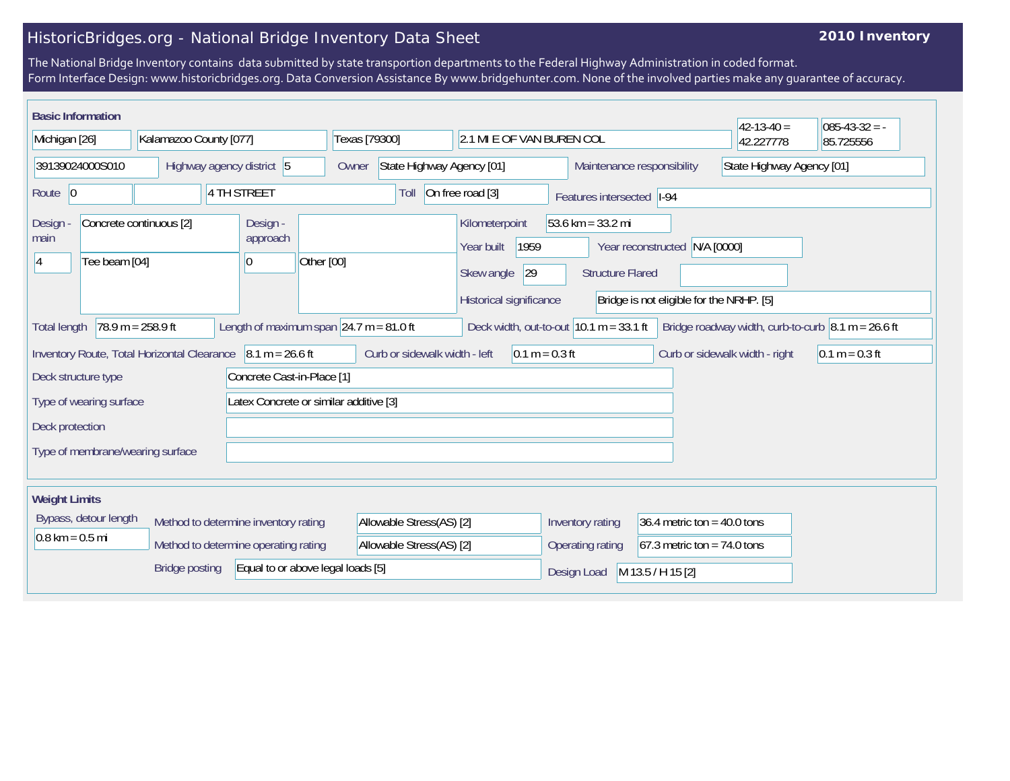## HistoricBridges.org - National Bridge Inventory Data Sheet

## **2010 Inventory**

The National Bridge Inventory contains data submitted by state transportion departments to the Federal Highway Administration in coded format. Form Interface Design: www.historicbridges.org. Data Conversion Assistance By www.bridgehunter.com. None of the involved parties make any guarantee of accuracy.

| <b>Basic Information</b>                                                                                                                                                                                                  |                                  |                        |                                      |                                                   |  |                                            |                                                           |  |                                  |                                |                                                                                 |                             |                                                         |                                          | $42 - 13 - 40 =$ | $085 - 43 - 32 = -$ |
|---------------------------------------------------------------------------------------------------------------------------------------------------------------------------------------------------------------------------|----------------------------------|------------------------|--------------------------------------|---------------------------------------------------|--|--------------------------------------------|-----------------------------------------------------------|--|----------------------------------|--------------------------------|---------------------------------------------------------------------------------|-----------------------------|---------------------------------------------------------|------------------------------------------|------------------|---------------------|
| Michigan [26]                                                                                                                                                                                                             |                                  | Kalamazoo County [077] |                                      |                                                   |  | Texas [79300]<br>2.1 MI E OF VAN BUREN COL |                                                           |  |                                  |                                |                                                                                 | 42.227778                   | 85.725556                                               |                                          |                  |                     |
| 39139024000S010                                                                                                                                                                                                           |                                  |                        | Highway agency district 5            |                                                   |  |                                            | State Highway Agency [01]<br>Owner                        |  |                                  |                                |                                                                                 |                             | State Highway Agency [01]<br>Maintenance responsibility |                                          |                  |                     |
| Route 0                                                                                                                                                                                                                   |                                  |                        |                                      | 4 TH STREET                                       |  |                                            | On free road [3]<br>Toll                                  |  |                                  |                                |                                                                                 | Features intersected   I-94 |                                                         |                                          |                  |                     |
| Concrete continuous [2]<br>Design<br>main<br>Tee beam [04]<br><sup>4</sup>                                                                                                                                                |                                  |                        |                                      | Design -<br>approach<br>Other [00]<br>10          |  |                                            | Kilometerpoint<br>1959<br>Year built<br> 29<br>Skew angle |  |                                  |                                | 53.6 km = $33.2$ mi<br>Year reconstructed N/A [0000]<br><b>Structure Flared</b> |                             |                                                         |                                          |                  |                     |
|                                                                                                                                                                                                                           |                                  |                        |                                      |                                                   |  |                                            |                                                           |  |                                  | Historical significance        |                                                                                 |                             |                                                         | Bridge is not eligible for the NRHP. [5] |                  |                     |
| $78.9 m = 258.9 ft$<br>Length of maximum span $\sqrt{24.7}$ m = 81.0 ft<br>Deck width, out-to-out $10.1$ m = 33.1 ft<br>Bridge roadway width, curb-to-curb $\vert 8.1 \text{ m} = 26.6 \text{ ft}$<br><b>Total length</b> |                                  |                        |                                      |                                                   |  |                                            |                                                           |  |                                  |                                |                                                                                 |                             |                                                         |                                          |                  |                     |
| $8.1 m = 26.6 ft$<br>Inventory Route, Total Horizontal Clearance                                                                                                                                                          |                                  |                        |                                      | Curb or sidewalk width - left<br>$0.1 m = 0.3 ft$ |  |                                            |                                                           |  |                                  | Curb or sidewalk width - right | $0.1 m = 0.3 ft$                                                                |                             |                                                         |                                          |                  |                     |
| Concrete Cast-in-Place [1]<br>Deck structure type                                                                                                                                                                         |                                  |                        |                                      |                                                   |  |                                            |                                                           |  |                                  |                                |                                                                                 |                             |                                                         |                                          |                  |                     |
| Latex Concrete or similar additive [3]<br>Type of wearing surface                                                                                                                                                         |                                  |                        |                                      |                                                   |  |                                            |                                                           |  |                                  |                                |                                                                                 |                             |                                                         |                                          |                  |                     |
| Deck protection                                                                                                                                                                                                           |                                  |                        |                                      |                                                   |  |                                            |                                                           |  |                                  |                                |                                                                                 |                             |                                                         |                                          |                  |                     |
|                                                                                                                                                                                                                           | Type of membrane/wearing surface |                        |                                      |                                                   |  |                                            |                                                           |  |                                  |                                |                                                                                 |                             |                                                         |                                          |                  |                     |
| <b>Weight Limits</b>                                                                                                                                                                                                      |                                  |                        |                                      |                                                   |  |                                            |                                                           |  |                                  |                                |                                                                                 |                             |                                                         |                                          |                  |                     |
| Bypass, detour length                                                                                                                                                                                                     |                                  |                        |                                      | Method to determine inventory rating              |  |                                            | Allowable Stress(AS) [2]                                  |  |                                  |                                | 36.4 metric ton = $40.0$ tons<br>Inventory rating                               |                             |                                                         |                                          |                  |                     |
| $0.8 \text{ km} = 0.5 \text{ mi}$                                                                                                                                                                                         |                                  |                        | Method to determine operating rating |                                                   |  |                                            | Allowable Stress(AS) [2]                                  |  |                                  |                                | $67.3$ metric ton = 74.0 tons<br>Operating rating                               |                             |                                                         |                                          |                  |                     |
| Equal to or above legal loads [5]<br><b>Bridge posting</b>                                                                                                                                                                |                                  |                        |                                      |                                                   |  |                                            |                                                           |  | M 13.5 / H 15 [2]<br>Design Load |                                |                                                                                 |                             |                                                         |                                          |                  |                     |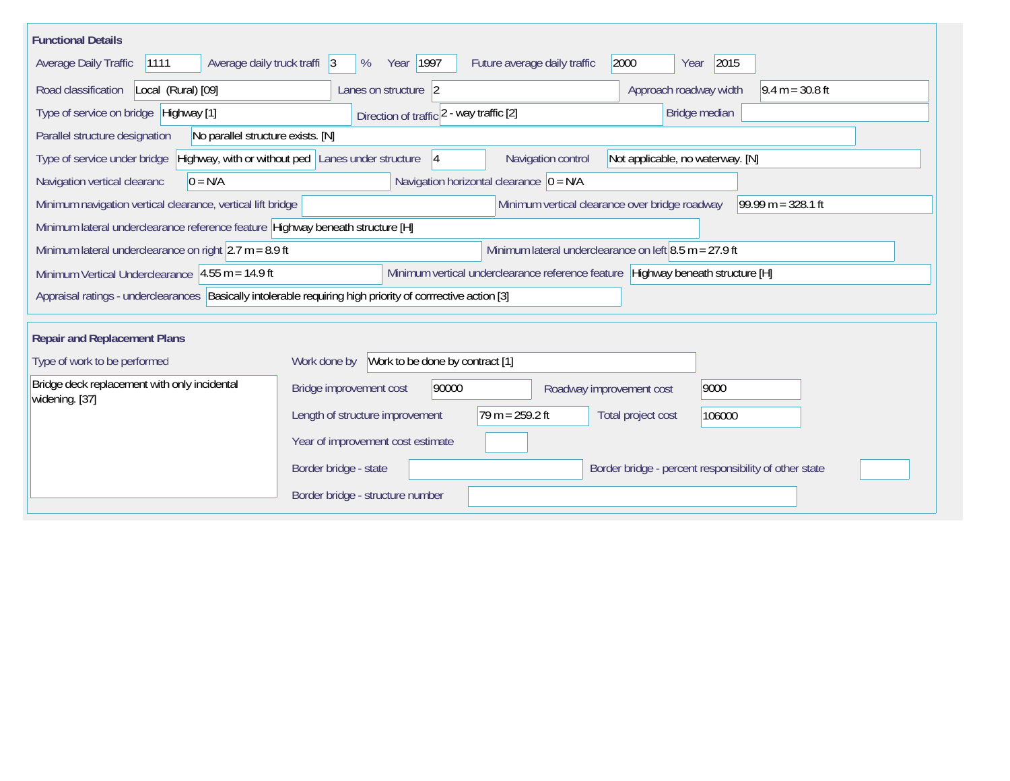| <b>Functional Details</b>                                                                                   |                                                                                                                    |  |
|-------------------------------------------------------------------------------------------------------------|--------------------------------------------------------------------------------------------------------------------|--|
| 1111<br>Average daily truck traffi 3<br>Average Daily Traffic                                               | Year 1997<br>2000<br>2015<br>Future average daily traffic<br>%<br>Year                                             |  |
| Road classification<br>Local (Rural) [09]                                                                   | Approach roadway width<br>Lanes on structure 2<br>$9.4 m = 30.8 ft$                                                |  |
| Type of service on bridge Highway [1]                                                                       | Direction of traffic 2 - way traffic [2]<br>Bridge median                                                          |  |
| Parallel structure designation<br>No parallel structure exists. [N]                                         |                                                                                                                    |  |
| Type of service under bridge                                                                                | Highway, with or without ped Lanes under structure<br>Navigation control<br>Not applicable, no waterway. [N]<br> 4 |  |
| $0 = N/A$<br>Navigation vertical clearanc                                                                   | Navigation horizontal clearance $ 0 = N/A $                                                                        |  |
| Minimum navigation vertical clearance, vertical lift bridge                                                 | 99.99 m = $328.1$ ft<br>Minimum vertical clearance over bridge roadway                                             |  |
| Minimum lateral underclearance reference feature Highway beneath structure [H]                              |                                                                                                                    |  |
| Minimum lateral underclearance on right $2.7$ m = 8.9 ft                                                    | Minimum lateral underclearance on left $8.5$ m = 27.9 ft                                                           |  |
| Minimum Vertical Underclearance $ 4.55 \text{ m} = 14.9 \text{ ft} $                                        | Minimum vertical underclearance reference feature Highway beneath structure [H]                                    |  |
| Appraisal ratings - underclearances Basically intolerable requiring high priority of corrrective action [3] |                                                                                                                    |  |
|                                                                                                             |                                                                                                                    |  |
| <b>Repair and Replacement Plans</b>                                                                         |                                                                                                                    |  |
| Type of work to be performed                                                                                | Work to be done by contract [1]<br>Work done by                                                                    |  |
| Bridge deck replacement with only incidental<br>widening. [37]                                              | 90000<br>Bridge improvement cost<br>9000<br>Roadway improvement cost                                               |  |
|                                                                                                             | Length of structure improvement<br>$79 m = 259.2 ft$<br>Total project cost<br>106000                               |  |
|                                                                                                             | Year of improvement cost estimate                                                                                  |  |
|                                                                                                             | Border bridge - percent responsibility of other state<br>Border bridge - state                                     |  |
|                                                                                                             | Border bridge - structure number                                                                                   |  |